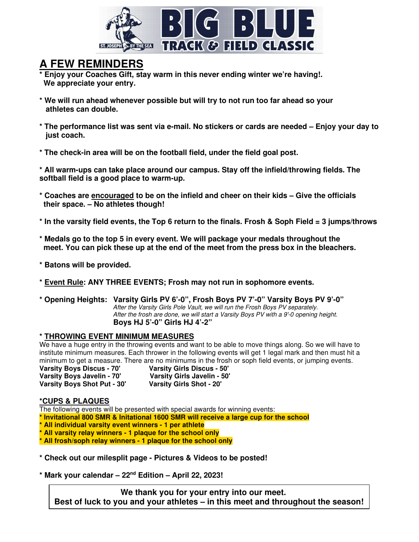

# **A FEW REMINDERS**

**\* Enjoy your Coaches Gift, stay warm in this never ending winter we're having!. We appreciate your entry.** 

- **\* We will run ahead whenever possible but will try to not run too far ahead so your athletes can double.**
- **\* The performance list was sent via e-mail. No stickers or cards are needed Enjoy your day to just coach.**
- **\* The check-in area will be on the football field, under the field goal post.**

**\* All warm-ups can take place around our campus. Stay off the infield/throwing fields. The softball field is a good place to warm-up.** 

- **\* Coaches are encouraged to be on the infield and cheer on their kids Give the officials their space. – No athletes though!**
- **\* In the varsity field events, the Top 6 return to the finals. Frosh & Soph Field = 3 jumps/throws**
- **\* Medals go to the top 5 in every event. We will package your medals throughout the meet. You can pick these up at the end of the meet from the press box in the bleachers.**
- **\* Batons will be provided.**
- **\* Event Rule: ANY THREE EVENTS; Frosh may not run in sophomore events.**
- **\* Opening Heights: Varsity Girls PV 6'-0", Frosh Boys PV 7'-0" Varsity Boys PV 9'-0"**  After the Varsity Girls Pole Vault, we will run the Frosh Boys PV separately. After the frosh are done, we will start a Varsity Boys PV with a 9'-0 opening height.  **Boys HJ 5'-0" Girls HJ 4'-2"**

### **\* THROWING EVENT MINIMUM MEASURES**

We have a huge entry in the throwing events and want to be able to move things along. So we will have to institute minimum measures. Each thrower in the following events will get 1 legal mark and then must hit a minimum to get a measure. There are no minimums in the frosh or soph field events, or jumping events.<br>Varsity Boys Discus - 70' Varsity Girls Discus - 50'

**Varsity Boys Discus - 70' Varsity Girls Discus - 50' Varsity Boys Javelin - 70' Varsity Girls Javelin - 50' Varsity Boys Shot Put - 30'** 

#### **\*CUPS & PLAQUES**

The following events will be presented with special awards for winning events: **\* Invitational 800 SMR & Initational 1600 SMR will receive a large cup for the school \* All individual varsity event winners - 1 per athlete \* All varsity relay winners - 1 plaque for the school only \* All frosh/soph relay winners - 1 plaque for the school only** 

**\* Check out our milesplit page - Pictures & Videos to be posted!** 

**\* Mark your calendar – 22nd Edition – April 22, 2023!** 

 **We thank you for your entry into our meet. Best of luck to you and your athletes – in this meet and throughout the season!**